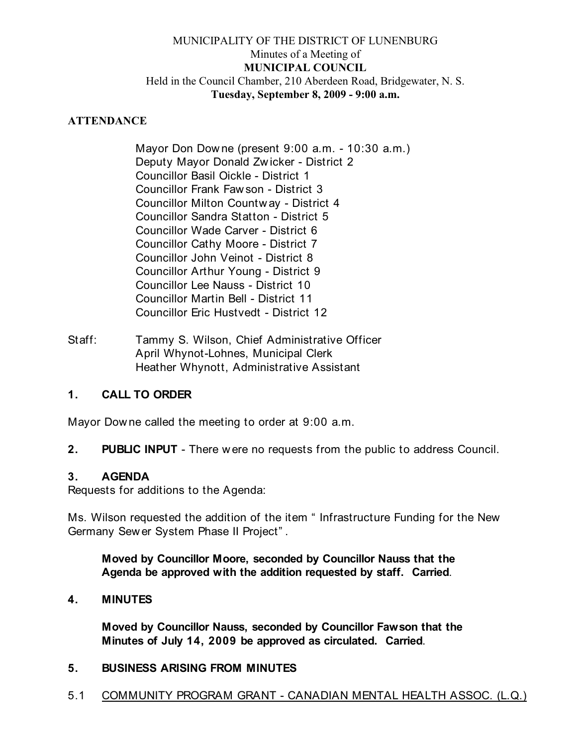## MUNICIPALITY OF THE DISTRICT OF LUNENBURG Minutes of a Meeting of **MUNICIPAL COUNCIL** Held in the Council Chamber, 210 Aberdeen Road, Bridgewater, N. S. **Tuesday, September 8, 2009 - 9:00 a.m.**

### **ATTENDANCE**

Mayor Don Dow ne (present 9:00 a.m. - 10:30 a.m.) Deputy Mayor Donald Zw icker - District 2 Councillor Basil Oickle - District 1 Councillor Frank Faw son - District 3 Councillor Milton Countw ay - District 4 Councillor Sandra Statton - District 5 Councillor Wade Carver - District 6 Councillor Cathy Moore - District 7 Councillor John Veinot - District 8 Councillor Arthur Young - District 9 Councillor Lee Nauss - District 10 Councillor Martin Bell - District 11 Councillor Eric Hustvedt - District 12

Staff: Tammy S. Wilson, Chief Administrative Officer April Whynot-Lohnes, Municipal Clerk Heather Whynott, Administrative Assistant

### **1. CALL TO ORDER**

Mayor Dow ne called the meeting to order at 9:00 a.m.

**2. PUBLIC INPUT** - There w ere no requests from the public to address Council.

### **3. AGENDA**

Requests for additions to the Agenda:

Ms. Wilson requested the addition of the item " Infrastructure Funding for the New Germany Sew er System Phase II Project" .

**Moved by Councillor Moore, seconded by Councillor Nauss that the Agenda be approved with the addition requested by staff. Carried**.

### **4. MINUTES**

**Moved by Councillor Nauss, seconded by Councillor Fawson that the Minutes of July 14, 2009 be approved as circulated. Carried**.

### **5. BUSINESS ARISING FROM MINUTES**

5.1 COMMUNITY PROGRAM GRANT - CANADIAN MENTAL HEALTH ASSOC. (L.Q.)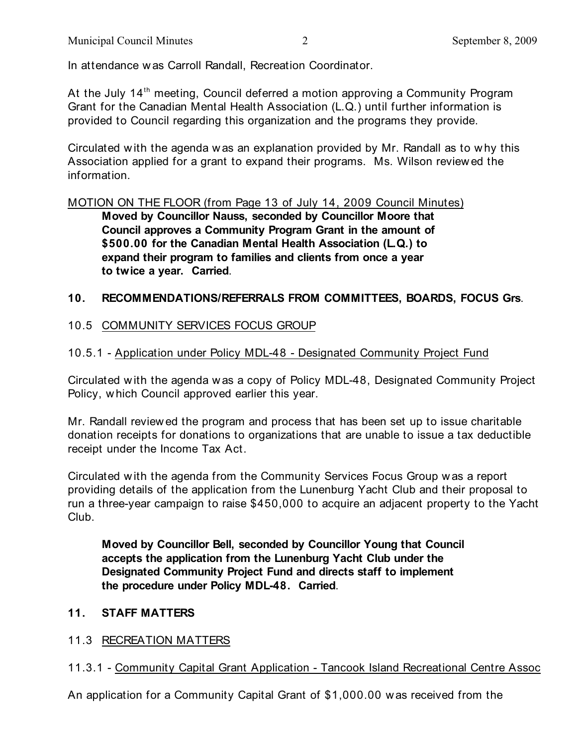In attendance w as Carroll Randall, Recreation Coordinator.

At the July 14<sup>th</sup> meeting, Council deferred a motion approving a Community Program Grant for the Canadian Mental Health Association (L.Q.) until further information is provided to Council regarding this organization and the programs they provide.

Circulated w ith the agenda w as an explanation provided by Mr. Randall as to w hy this Association applied for a grant to expand their programs. Ms. Wilson review ed the information.

MOTION ON THE FLOOR (from Page 13 of July 14, 2009 Council Minutes)

**Moved by Councillor Nauss, seconded by Councillor Moore that Council approves a Community Program Grant in the amount of \$500.00 for the Canadian Mental Health Association (L.Q.) to expand their program to families and clients from once a year to twice a year. Carried**.

### **10. RECOMMENDATIONS/REFERRALS FROM COMMITTEES, BOARDS, FOCUS Grs**.

## 10.5 COMMUNITY SERVICES FOCUS GROUP

### 10.5.1 - Application under Policy MDL-48 - Designated Community Project Fund

Circulated w ith the agenda w as a copy of Policy MDL-48, Designated Community Project Policy, w hich Council approved earlier this year.

Mr. Randall review ed the program and process that has been set up to issue charitable donation receipts for donations to organizations that are unable to issue a tax deductible receipt under the Income Tax Act.

Circulated w ith the agenda from the Community Services Focus Group w as a report providing details of the application from the Lunenburg Yacht Club and their proposal to run a three-year campaign to raise \$450,000 to acquire an adjacent property to the Yacht Club.

**Moved by Councillor Bell, seconded by Councillor Young that Council accepts the application from the Lunenburg Yacht Club under the Designated Community Project Fund and directs staff to implement the procedure under Policy MDL-48. Carried**.

### **11. STAFF MATTERS**

11.3 RECREATION MATTERS

## 11.3.1 - Community Capital Grant Application - Tancook Island Recreational Centre Assoc

An application for a Community Capital Grant of \$1,000.00 w as received from the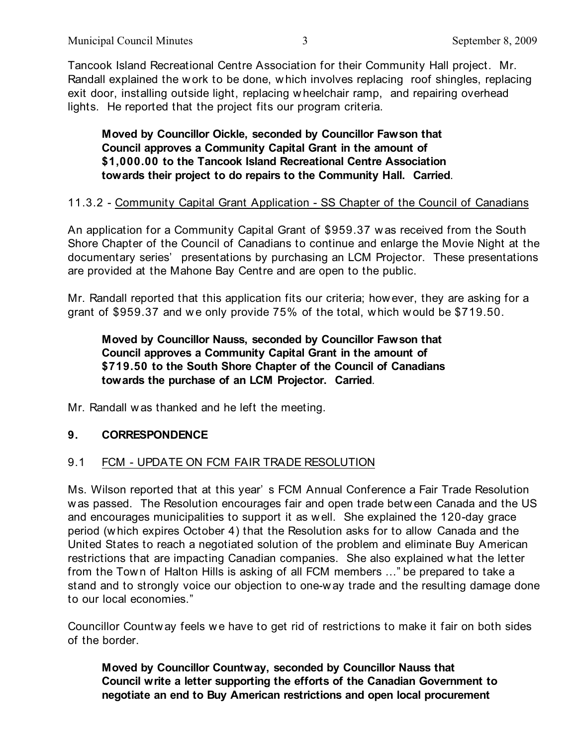Tancook Island Recreational Centre Association for their Community Hall project. Mr. Randall explained the w ork to be done, w hich involves replacing roof shingles, replacing exit door, installing outside light, replacing w heelchair ramp, and repairing overhead lights. He reported that the project fits our program criteria.

### **Moved by Councillor Oickle, seconded by Councillor Fawson that Council approves a Community Capital Grant in the amount of \$1,000.00 to the Tancook Island Recreational Centre Association towards their project to do repairs to the Community Hall. Carried**.

## 11.3.2 - Community Capital Grant Application - SS Chapter of the Council of Canadians

An application for a Community Capital Grant of \$959.37 w as received from the South Shore Chapter of the Council of Canadians to continue and enlarge the Movie Night at the documentary series' presentations by purchasing an LCM Projector. These presentations are provided at the Mahone Bay Centre and are open to the public.

Mr. Randall reported that this application fits our criteria; however, they are asking for a grant of \$959.37 and we only provide 75% of the total, which would be \$719.50.

## **Moved by Councillor Nauss, seconded by Councillor Fawson that Council approves a Community Capital Grant in the amount of \$719.50 to the South Shore Chapter of the Council of Canadians towards the purchase of an LCM Projector. Carried**.

Mr. Randall w as thanked and he left the meeting.

## **9. CORRESPONDENCE**

## 9.1 FCM - UPDATE ON FCM FAIR TRADE RESOLUTION

Ms. Wilson reported that at this year' s FCM Annual Conference a Fair Trade Resolution w as passed. The Resolution encourages fair and open trade betw een Canada and the US and encourages municipalities to support it as w ell. She explained the 120-day grace period (w hich expires October 4) that the Resolution asks for to allow Canada and the United States to reach a negotiated solution of the problem and eliminate Buy American restrictions that are impacting Canadian companies. She also explained w hat the letter from the Town of Halton Hills is asking of all FCM members ..." be prepared to take a stand and to strongly voice our objection to one-way trade and the resulting damage done to our local economies."

Councillor Countw ay feels w e have to get rid of restrictions to make it fair on both sides of the border.

**Moved by Councillor Countway, seconded by Councillor Nauss that Council write a letter supporting the efforts of the Canadian Government to negotiate an end to Buy American restrictions and open local procurement**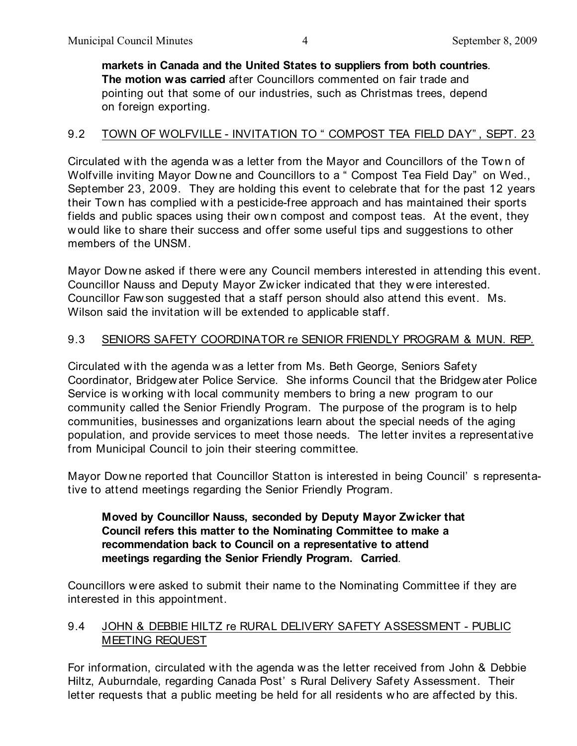**markets in Canada and the United States to suppliers from both countries**. **The motion was carried** after Councillors commented on fair trade and pointing out that some of our industries, such as Christmas trees, depend on foreign exporting.

## 9.2 TOWN OF WOLFVILLE - INVITATION TO " COMPOST TEA FIELD DAY", SEPT. 23

Circulated with the agenda w as a letter from the Mayor and Councillors of the Tow n of Wolfville inviting Mayor Dow ne and Councillors to a " Compost Tea Field Day" on Wed., September 23, 2009. They are holding this event to celebrate that for the past 12 years their Town has complied w ith a pesticide-free approach and has maintained their sports fields and public spaces using their own compost and compost teas. At the event, they w ould like to share their success and offer some useful tips and suggestions to other members of the UNSM.

Mayor Dow ne asked if there w ere any Council members interested in attending this event. Councillor Nauss and Deputy Mayor Zw icker indicated that they w ere interested. Councillor Faw son suggested that a staff person should also attend this event. Ms. Wilson said the invitation w ill be extended to applicable staff.

## 9.3 SENIORS SAFETY COORDINATOR re SENIOR FRIENDLY PROGRAM & MUN. REP.

Circulated w ith the agenda was a letter from Ms. Beth George, Seniors Safety Coordinator, Bridgew ater Police Service. She informs Council that the Bridgew ater Police Service is w orking w ith local community members to bring a new program to our community called the Senior Friendly Program. The purpose of the program is to help communities, businesses and organizations learn about the special needs of the aging population, and provide services to meet those needs. The letter invites a representative from Municipal Council to join their steering committee.

Mayor Dow ne reported that Councillor Statton is interested in being Council' s representative to attend meetings regarding the Senior Friendly Program.

## **Moved by Councillor Nauss, seconded by Deputy Mayor Zwicker that Council refers this matter to the Nominating Committee to make a recommendation back to Council on a representative to attend meetings regarding the Senior Friendly Program. Carried**.

Councillors w ere asked to submit their name to the Nominating Committee if they are interested in this appointment.

## 9.4 JOHN & DEBBIE HILTZ re RURAL DELIVERY SAFETY ASSESSMENT - PUBLIC MEETING REQUEST

For information, circulated w ith the agenda w as the letter received from John & Debbie Hiltz, Auburndale, regarding Canada Post' s Rural Delivery Safety Assessment. Their letter requests that a public meeting be held for all residents w ho are affected by this.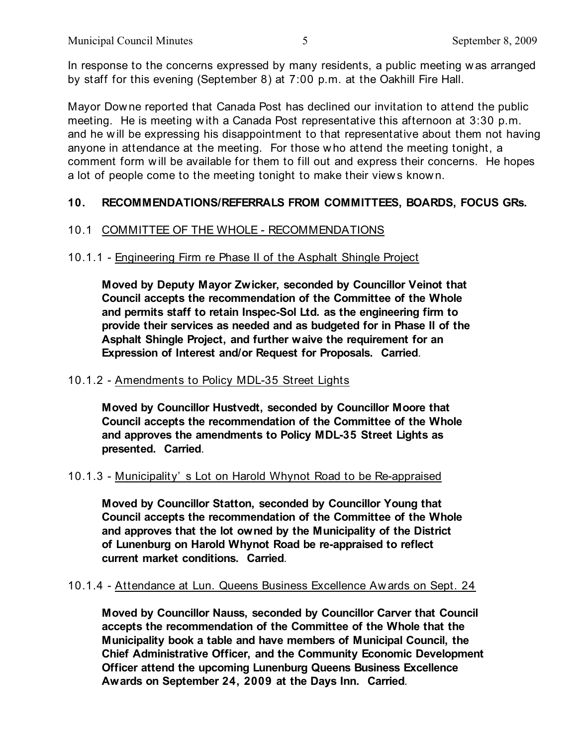In response to the concerns expressed by many residents, a public meeting w as arranged by staff for this evening (September 8) at 7:00 p.m. at the Oakhill Fire Hall.

Mayor Downe reported that Canada Post has declined our invitation to attend the public meeting. He is meeting w ith a Canada Post representative this afternoon at 3:30 p.m. and he will be expressing his disappointment to that representative about them not having anyone in attendance at the meeting. For those w ho attend the meeting tonight, a comment form w ill be available for them to fill out and express their concerns. He hopes a lot of people come to the meeting tonight to make their view s know n.

## **10. RECOMMENDATIONS/REFERRALS FROM COMMITTEES, BOARDS, FOCUS GRs.**

### 10.1 COMMITTEE OF THE WHOLE - RECOMMENDATIONS

### 10.1.1 - Engineering Firm re Phase II of the Asphalt Shingle Project

**Moved by Deputy Mayor Zwicker, seconded by Councillor Veinot that Council accepts the recommendation of the Committee of the Whole and permits staff to retain Inspec-Sol Ltd. as the engineering firm to provide their services as needed and as budgeted for in Phase II of the Asphalt Shingle Project, and further waive the requirement for an Expression of Interest and/or Request for Proposals. Carried**.

### 10.1.2 - Amendments to Policy MDL-35 Street Lights

**Moved by Councillor Hustvedt, seconded by Councillor Moore that Council accepts the recommendation of the Committee of the Whole and approves the amendments to Policy MDL-35 Street Lights as presented. Carried**.

#### 10.1.3 - Municipality' s Lot on Harold Whynot Road to be Re-appraised

**Moved by Councillor Statton, seconded by Councillor Young that Council accepts the recommendation of the Committee of the Whole and approves that the lot owned by the Municipality of the District of Lunenburg on Harold Whynot Road be re-appraised to reflect current market conditions. Carried**.

### 10.1.4 - Attendance at Lun. Queens Business Excellence Aw ards on Sept. 24

**Moved by Councillor Nauss, seconded by Councillor Carver that Council accepts the recommendation of the Committee of the Whole that the Municipality book a table and have members of Municipal Council, the Chief Administrative Officer, and the Community Economic Development Officer attend the upcoming Lunenburg Queens Business Excellence Awards on September 24, 2009 at the Days Inn. Carried**.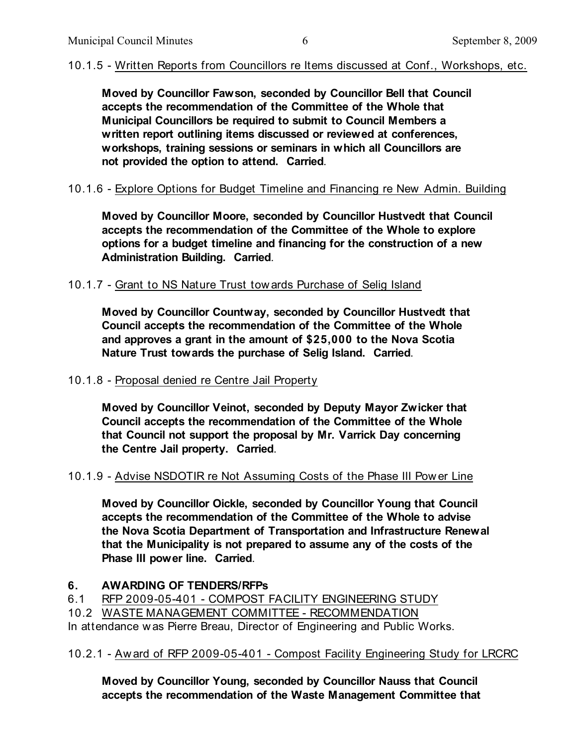# 10.1.5 - Written Reports from Councillors re Items discussed at Conf., Workshops, etc.

**Moved by Councillor Fawson, seconded by Councillor Bell that Council accepts the recommendation of the Committee of the Whole that Municipal Councillors be required to submit to Council Members a written report outlining items discussed or reviewed at conferences, workshops, training sessions or seminars in which all Councillors are not provided the option to attend. Carried**.

# 10.1.6 - Explore Options for Budget Timeline and Financing re New Admin. Building

**Moved by Councillor Moore, seconded by Councillor Hustvedt that Council accepts the recommendation of the Committee of the Whole to explore options for a budget timeline and financing for the construction of a new Administration Building. Carried**.

## 10.1.7 - Grant to NS Nature Trust tow ards Purchase of Selig Island

**Moved by Councillor Countway, seconded by Councillor Hustvedt that Council accepts the recommendation of the Committee of the Whole and approves a grant in the amount of \$25,000 to the Nova Scotia Nature Trust towards the purchase of Selig Island. Carried**.

## 10.1.8 - Proposal denied re Centre Jail Property

**Moved by Councillor Veinot, seconded by Deputy Mayor Zwicker that Council accepts the recommendation of the Committee of the Whole that Council not support the proposal by Mr. Varrick Day concerning the Centre Jail property. Carried**.

## 10.1.9 - Advise NSDOTIR re Not Assuming Costs of the Phase III Pow er Line

**Moved by Councillor Oickle, seconded by Councillor Young that Council accepts the recommendation of the Committee of the Whole to advise the Nova Scotia Department of Transportation and Infrastructure Renewal that the Municipality is not prepared to assume any of the costs of the Phase III power line. Carried**.

## **6. AWARDING OF TENDERS/RFPs**

- 6.1 RFP 2009-05-401 COMPOST FACILITY ENGINEERING STUDY
- 10.2 WASTE MANAGEMENT COMMITTEE RECOMMENDATION

In attendance w as Pierre Breau, Director of Engineering and Public Works.

10.2.1 - Aw ard of RFP 2009-05-401 - Compost Facility Engineering Study for LRCRC

**Moved by Councillor Young, seconded by Councillor Nauss that Council accepts the recommendation of the Waste Management Committee that**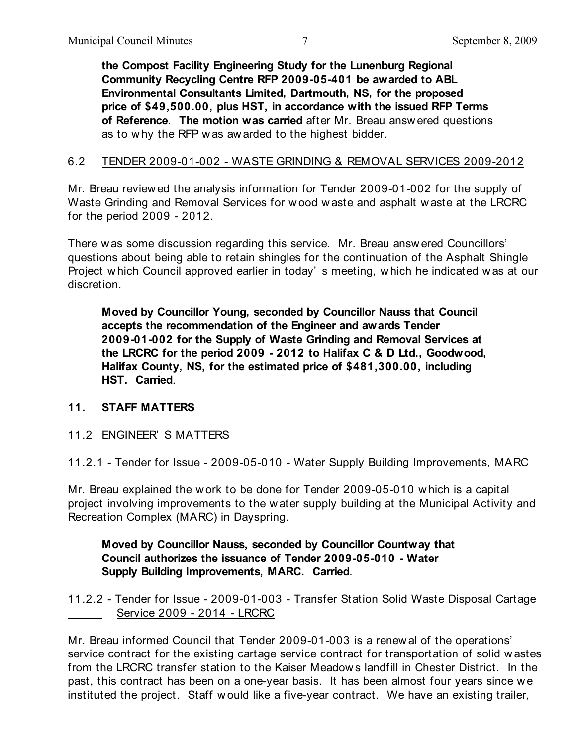**the Compost Facility Engineering Study for the Lunenburg Regional Community Recycling Centre RFP 2009-05-401 be awarded to ABL Environmental Consultants Limited, Dartmouth, NS, for the proposed price of \$49,500.00, plus HST, in accordance with the issued RFP Terms of Reference**. **The motion was carried** after Mr. Breau answ ered questions as to w hy the RFP w as aw arded to the highest bidder.

### 6.2 TENDER 2009-01-002 - WASTE GRINDING & REMOVAL SERVICES 2009-2012

Mr. Breau review ed the analysis information for Tender 2009-01-002 for the supply of Waste Grinding and Removal Services for w ood w aste and asphalt w aste at the LRCRC for the period 2009 - 2012.

There w as some discussion regarding this service. Mr. Breau answ ered Councillors' questions about being able to retain shingles for the continuation of the Asphalt Shingle Project w hich Council approved earlier in today' s meeting, w hich he indicated was at our discretion.

**Moved by Councillor Young, seconded by Councillor Nauss that Council accepts the recommendation of the Engineer and awards Tender 2009-01-002 for the Supply of Waste Grinding and Removal Services at the LRCRC for the period 2009 - 2012 to Halifax C & D Ltd., Goodwood, Halifax County, NS, for the estimated price of \$481,300.00, including HST. Carried**.

### **11. STAFF MATTERS**

11.2 ENGINEER' S MATTERS

### 11.2.1 - Tender for Issue - 2009-05-010 - Water Supply Building Improvements, MARC

Mr. Breau explained the work to be done for Tender 2009-05-010 w hich is a capital project involving improvements to the w ater supply building at the Municipal Activity and Recreation Complex (MARC) in Dayspring.

**Moved by Councillor Nauss, seconded by Councillor Countway that Council authorizes the issuance of Tender 2009-05-010 - Water Supply Building Improvements, MARC. Carried**.

### 11.2.2 - Tender for Issue - 2009-01-003 - Transfer Station Solid Waste Disposal Cartage Service 2009 - 2014 - LRCRC

Mr. Breau informed Council that Tender 2009-01-003 is a renew al of the operations' service contract for the existing cartage service contract for transportation of solid w astes from the LRCRC transfer station to the Kaiser Meadow s landfill in Chester District. In the past, this contract has been on a one-year basis. It has been almost four years since we instituted the project. Staff w ould like a five-year contract. We have an existing trailer,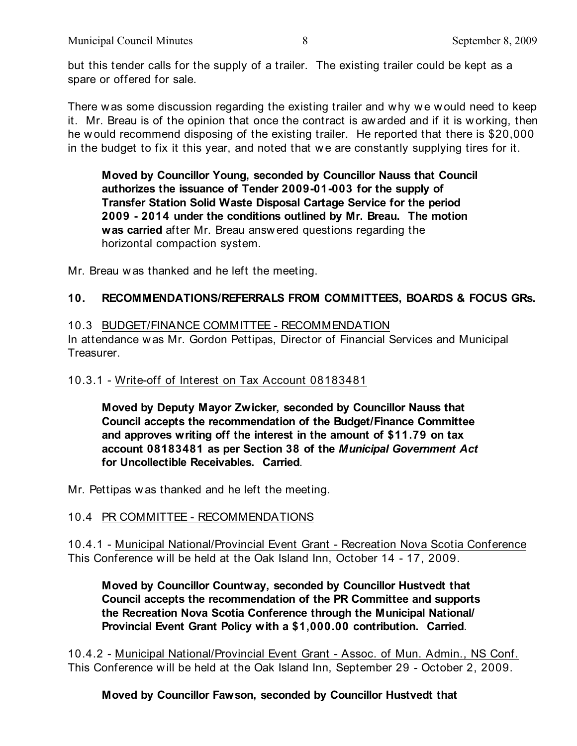but this tender calls for the supply of a trailer. The existing trailer could be kept as a spare or offered for sale.

There was some discussion regarding the existing trailer and w hy we would need to keep it. Mr. Breau is of the opinion that once the contract is awarded and if it is w orking, then he w ould recommend disposing of the existing trailer. He reported that there is \$20,000 in the budget to fix it this year, and noted that we are constantly supplying tires for it.

**Moved by Councillor Young, seconded by Councillor Nauss that Council authorizes the issuance of Tender 2009-01-003 for the supply of Transfer Station Solid Waste Disposal Cartage Service for the period 2009 - 2014 under the conditions outlined by Mr. Breau. The motion was carried** after Mr. Breau answ ered questions regarding the horizontal compaction system.

Mr. Breau was thanked and he left the meeting.

### **10. RECOMMENDATIONS/REFERRALS FROM COMMITTEES, BOARDS & FOCUS GRs.**

10.3 BUDGET/FINANCE COMMITTEE - RECOMMENDATION In attendance was Mr. Gordon Pettipas, Director of Financial Services and Municipal Treasurer.

### 10.3.1 - Write-off of Interest on Tax Account 08183481

**Moved by Deputy Mayor Zwicker, seconded by Councillor Nauss that Council accepts the recommendation of the Budget/Finance Committee and approves writing off the interest in the amount of \$11.79 on tax account 08183481 as per Section 38 of the** *Municipal Government Act* **for Uncollectible Receivables. Carried**.

Mr. Pettipas w as thanked and he left the meeting.

### 10.4 PR COMMITTEE - RECOMMENDATIONS

10.4.1 - Municipal National/Provincial Event Grant - Recreation Nova Scotia Conference This Conference w ill be held at the Oak Island Inn, October 14 - 17, 2009.

**Moved by Councillor Countway, seconded by Councillor Hustvedt that Council accepts the recommendation of the PR Committee and supports the Recreation Nova Scotia Conference through the Municipal National/ Provincial Event Grant Policy with a \$1,000.00 contribution. Carried**.

10.4.2 - Municipal National/Provincial Event Grant - Assoc. of Mun. Admin., NS Conf. This Conference w ill be held at the Oak Island Inn, September 29 - October 2, 2009.

### **Moved by Councillor Fawson, seconded by Councillor Hustvedt that**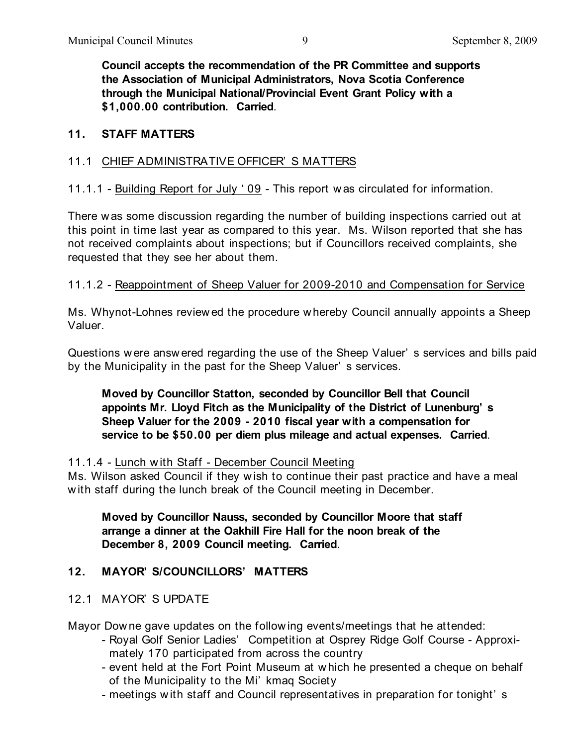**Council accepts the recommendation of the PR Committee and supports the Association of Municipal Administrators, Nova Scotia Conference through the Municipal National/Provincial Event Grant Policy with a \$1,000.00 contribution. Carried**.

### **11. STAFF MATTERS**

### 11.1 CHIEF ADMINISTRATIVE OFFICER' S MATTERS

11.1.1 - Building Report for July ' 09 - This report w as circulated for information.

There was some discussion regarding the number of building inspections carried out at this point in time last year as compared to this year. Ms. Wilson reported that she has not received complaints about inspections; but if Councillors received complaints, she requested that they see her about them.

## 11.1.2 - Reappointment of Sheep Valuer for 2009-2010 and Compensation for Service

Ms. Whynot-Lohnes review ed the procedure whereby Council annually appoints a Sheep Valuer.

Questions w ere answ ered regarding the use of the Sheep Valuer' s services and bills paid by the Municipality in the past for the Sheep Valuer' s services.

## **Moved by Councillor Statton, seconded by Councillor Bell that Council appoints Mr. Lloyd Fitch as the Municipality of the District of Lunenburg' s Sheep Valuer for the 2009 - 2010 fiscal year with a compensation for service to be \$50.00 per diem plus mileage and actual expenses. Carried**.

### 11.1.4 - Lunch with Staff - December Council Meeting

Ms. Wilson asked Council if they w ish to continue their past practice and have a meal w ith staff during the lunch break of the Council meeting in December.

**Moved by Councillor Nauss, seconded by Councillor Moore that staff arrange a dinner at the Oakhill Fire Hall for the noon break of the December 8, 2009 Council meeting. Carried**.

### **12. MAYOR' S/COUNCILLORS' MATTERS**

### 12.1 MAYOR' S UPDATE

Mayor Dow ne gave updates on the follow ing events/meetings that he attended:

- Royal Golf Senior Ladies' Competition at Osprey Ridge Golf Course Approxi mately 170 participated from across the country
- event held at the Fort Point Museum at w hich he presented a cheque on behalf of the Municipality to the Mi' kmaq Society
- meetings w ith staff and Council representatives in preparation for tonight' s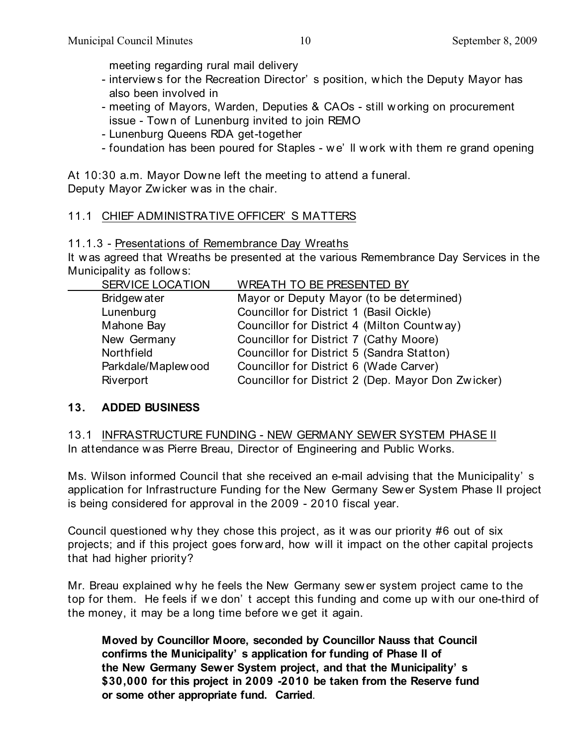meeting regarding rural mail delivery

- interview s for the Recreation Director' s position, w hich the Deputy Mayor has also been involved in
- meeting of Mayors, Warden, Deputies & CAOs still w orking on procurement issue - Tow n of Lunenburg invited to join REMO
- Lunenburg Queens RDA get-together
- foundation has been poured for Staples w e' ll w ork w ith them re grand opening

At 10:30 a.m. Mayor Downe left the meeting to attend a funeral. Deputy Mayor Zw icker was in the chair.

# 11.1 CHIEF ADMINISTRATIVE OFFICER' S MATTERS

# 11.1.3 - Presentations of Remembrance Day Wreaths

It w as agreed that Wreaths be presented at the various Remembrance Day Services in the Municipality as follow s:

| <b>SERVICE LOCATION</b> | <b>WREATH TO BE PRESENTED BY</b>                   |
|-------------------------|----------------------------------------------------|
| Bridgew ater            | Mayor or Deputy Mayor (to be determined)           |
| Lunenburg               | Councillor for District 1 (Basil Oickle)           |
| Mahone Bay              | Councillor for District 4 (Milton Countway)        |
| New Germany             | Councillor for District 7 (Cathy Moore)            |
| Northfield              | Councillor for District 5 (Sandra Statton)         |
| Parkdale/Maplewood      | Councillor for District 6 (Wade Carver)            |
| Riverport               | Councillor for District 2 (Dep. Mayor Don Zwicker) |
|                         |                                                    |

# **13. ADDED BUSINESS**

13.1 INFRASTRUCTURE FUNDING - NEW GERMANY SEWER SYSTEM PHASE II In attendance w as Pierre Breau, Director of Engineering and Public Works.

Ms. Wilson informed Council that she received an e-mail advising that the Municipality' s application for Infrastructure Funding for the New Germany Sew er System Phase II project is being considered for approval in the 2009 - 2010 fiscal year.

Council questioned w hy they chose this project, as it w as our priority #6 out of six projects; and if this project goes forw ard, how w ill it impact on the other capital projects that had higher priority?

Mr. Breau explained why he feels the New Germany sew er system project came to the top for them. He feels if we don't accept this funding and come up with our one-third of the money, it may be a long time before we get it again.

**Moved by Councillor Moore, seconded by Councillor Nauss that Council confirms the Municipality' s application for funding of Phase II of the New Germany Sewer System project, and that the Municipality' s \$30,000 for this project in 2009 -2010 be taken from the Reserve fund or some other appropriate fund. Carried**.